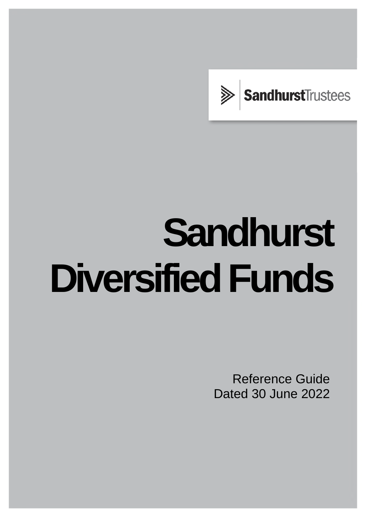

# **Sandhurst Diversified Funds**

Reference Guide Dated 30 June 2022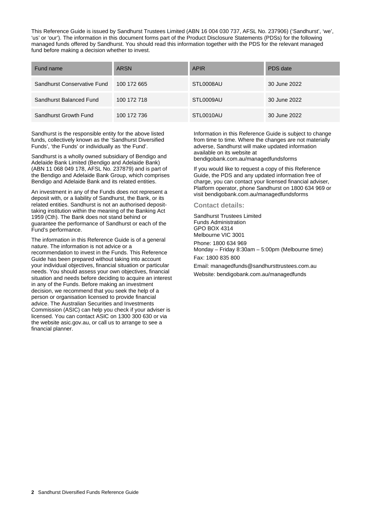This Reference Guide is issued by Sandhurst Trustees Limited (ABN 16 004 030 737, AFSL No. 237906) ('Sandhurst', 'we', 'us' or 'our'). The information in this document forms part of the Product Disclosure Statements (PDSs) for the following managed funds offered by Sandhurst. You should read this information together with the PDS for the relevant managed fund before making a decision whether to invest.

| Fund name                   | <b>ARSN</b> | <b>APIR</b> | PDS date     |
|-----------------------------|-------------|-------------|--------------|
| Sandhurst Conservative Fund | 100 172 665 | STL0008AU   | 30 June 2022 |
| Sandhurst Balanced Fund     | 100 172 718 | STL0009AU   | 30 June 2022 |
| Sandhurst Growth Fund       | 100 172 736 | STL0010AU   | 30 June 2022 |

Sandhurst is the responsible entity for the above listed funds, collectively known as the 'Sandhurst Diversified Funds', 'the Funds' or individually as 'the Fund'.

Sandhurst is a wholly owned subsidiary of Bendigo and Adelaide Bank Limited (Bendigo and Adelaide Bank) (ABN 11 068 049 178, AFSL No. 237879) and is part of the Bendigo and Adelaide Bank Group, which comprises Bendigo and Adelaide Bank and its related entities.

An investment in any of the Funds does not represent a deposit with, or a liability of Sandhurst, the Bank, or its related entities. Sandhurst is not an authorised deposittaking institution within the meaning of the Banking Act 1959 (Cth). The Bank does not stand behind or guarantee the performance of Sandhurst or each of the Fund's performance.

The information in this Reference Guide is of a general nature. The information is not advice or a recommendation to invest in the Funds. This Reference Guide has been prepared without taking into account your individual objectives, financial situation or particular needs. You should assess your own objectives, financial situation and needs before deciding to acquire an interest in any of the Funds. Before making an investment decision, we recommend that you seek the help of a person or organisation licensed to provide financial advice. The Australian Securities and Investments Commission (ASIC) can help you check if your adviser is licensed. You can contact ASIC on 1300 300 630 or via the website [asic.gov.au,](https://asic.gov.au/) or call us to arrange to see a financial planner.

Information in this Reference Guide is subject to change from time to time. Where the changes are not materially adverse, Sandhurst will make updated information available on its website at bendigobank.com.au/managedfundsforms

If you would like to request a copy of this Reference Guide, the PDS and any updated information free of charge, you can contact your licensed financial adviser, Platform operator, phone Sandhurst on 1800 634 969 or visit bendigobank.com.au/managedfundsforms

#### **Contact details:**

Sandhurst Trustees Limited Funds Administration GPO BOX 4314 Melbourne VIC 3001 Phone: 1800 634 969

Monday – Friday 8:30am – 5:00pm (Melbourne time)

Fax: 1800 835 800

Email[: managedfunds@sandhursttrustees.com.au](mailto:managedfunds@sandhursttrustees.com.au)  Website: bendigobank.com.au/managedfunds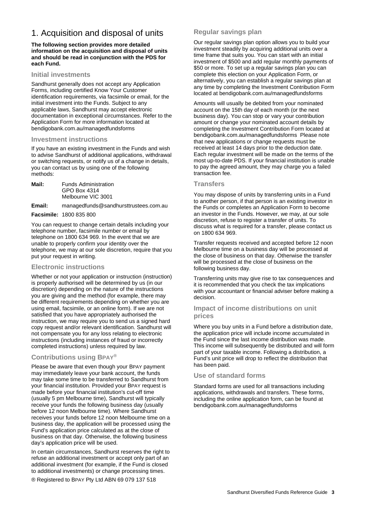# 1. Acquisition and disposal of units

#### **The following section provides more detailed information on the acquisition and disposal of units and should be read in conjunction with the PDS for each Fund.**

#### **Initial investments**

Sandhurst generally does not accept any Application Forms, including certified Know Your Customer identification requirements, via facsimile or email, for the initial investment into the Funds. Subject to any applicable laws, Sandhurst may accept electronic documentation in exceptional circumstances. Refer to the Application Form for more information located at [bendigobank.com.au/managedfundsforms](https://bendigobank.com.au/managedfundsforms)

#### **Investment instructions**

If you have an existing investment in the Funds and wish to advise Sandhurst of additional applications, withdrawal or switching requests, or notify us of a change in details, you can contact us by using one of the following methods:

| <b>Funds Administration</b> |  |  |
|-----------------------------|--|--|
| GPO Box 4314                |  |  |
| Melbourne VIC 3001          |  |  |
|                             |  |  |

**Email:** managedfunds@sandhursttrustees.com.au **Facsimile:** 1800 835 800

You can request to change certain details including your telephone number, facsimile number or email by telephone on 1800 634 969. In the event that we are unable to properly confirm your identity over the telephone, we may at our sole discretion, require that you put your request in writing.

## **Electronic instructions**

Whether or not your application or instruction (instruction) is properly authorised will be determined by us (in our discretion) depending on the nature of the instructions you are giving and the method (for example, there may be different requirements depending on whether you are using email, facsimile, or an online form). If we are not satisfied that you have appropriately authorised the instruction, we may require you to send us a signed hard copy request and/or relevant identification. Sandhurst will not compensate you for any loss relating to electronic instructions (including instances of fraud or incorrectly completed instructions) unless required by law.

## **Contributions using BPAY®**

Please be aware that even though your BPAY payment may immediately leave your bank account, the funds may take some time to be transferred to Sandhurst from your financial institution. Provided your BPAY request is made before your financial institution's cut-off time (usually 5 pm Melbourne time), Sandhurst will typically receive your funds the following business day (usually before 12 noon Melbourne time). Where Sandhurst receives your funds before 12 noon Melbourne time on a business day, the application will be processed using the Fund's application price calculated as at the close of business on that day. Otherwise, the following business day's application price will be used.

In certain circumstances, Sandhurst reserves the right to refuse an additional investment or accept only part of an additional investment (for example, if the Fund is closed to additional investments) or change processing times.

® Registered to BPAY Pty Ltd ABN 69 079 137 518

## **Regular savings plan**

Our regular savings plan option allows you to build your investment steadily by acquiring additional units over a time frame that suits you. You can start with an initial investment of \$500 and add regular monthly payments of \$50 or more. To set up a regular savings plan you can complete this election on your Application Form, or alternatively, you can establish a regular savings plan at any time by completing the Investment Contribution Form located at [bendigobank.com.au/managedfundsforms](https://bendigobank.com.au/managedfundsforms)

Amounts will usually be debited from your nominated account on the 15th day of each month (or the next business day). You can stop or vary your contribution amount or change your nominated account details by completing the Investment Contribution Form located at [bendigobank.com.au/managedfundsforms](https://bendigobank.com.au/managedfundsforms) Please note that new applications or change requests must be received at least 14 days prior to the deduction date. Each regular investment will be made on the terms of the most up-to-date PDS. If your financial institution is unable to pay the agreed amount, they may charge you a failed transaction fee.

#### **Transfers**

You may dispose of units by transferring units in a Fund to another person, if that person is an existing investor in the Funds or completes an Application Form to become an investor in the Funds. However, we may, at our sole discretion, refuse to register a transfer of units. To discuss what is required for a transfer, please contact us on 1800 634 969.

Transfer requests received and accepted before 12 noon Melbourne time on a business day will be processed at the close of business on that day. Otherwise the transfer will be processed at the close of business on the following business day.

Transferring units may give rise to tax consequences and it is recommended that you check the tax implications with your accountant or financial adviser before making a decision.

## **Impact of income distributions on unit prices**

Where you buy units in a Fund before a distribution date, the application price will include income accumulated in the Fund since the last income distribution was made. This income will subsequently be distributed and will form part of your taxable income. Following a distribution, a Fund's unit price will drop to reflect the distribution that has been paid.

#### **Use of standard forms**

Standard forms are used for all transactions including applications, withdrawals and transfers. These forms, including the online application form, can be found at [bendigobank.com.au/managedfundsforms](https://bendigobank.com.au/managedfundsforms)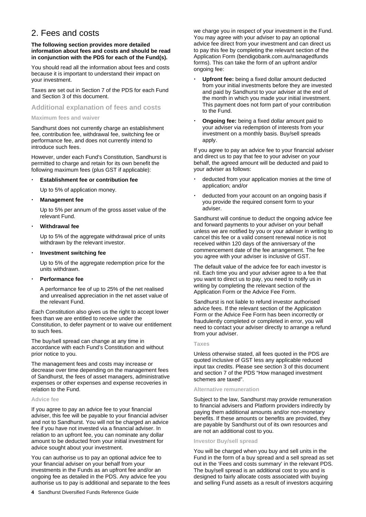# 2. Fees and costs

#### **The following section provides more detailed information about fees and costs and should be read in conjunction with the PDS for each of the Fund(s).**

You should read all the information about fees and costs because it is important to understand their impact on your investment.

Taxes are set out in Section 7 of the PDS for each Fund and Section 3 of this document.

#### **Additional explanation of fees and costs**

#### **Maximum fees and waiver**

Sandhurst does not currently charge an establishment fee, contribution fee, withdrawal fee, switching fee or performance fee, and does not currently intend to introduce such fees.

However, under each Fund's Constitution, Sandhurst is permitted to charge and retain for its own benefit the following maximum fees (plus GST if applicable):

#### **Establishment fee or contribution fee**

Up to 5% of application money.

#### **Management fee**

Up to 5% per annum of the gross asset value of the relevant Fund.

#### **Withdrawal fee**

Up to 5% of the aggregate withdrawal price of units withdrawn by the relevant investor.

#### **Investment switching fee**

Up to 5% of the aggregate redemption price for the units withdrawn.

#### **Performance fee**

A performance fee of up to 25% of the net realised and unrealised appreciation in the net asset value of the relevant Fund.

Each Constitution also gives us the right to accept lower fees than we are entitled to receive under the Constitution, to defer payment or to waive our entitlement to such fees.

The buy/sell spread can change at any time in accordance with each Fund's Constitution and without prior notice to you.

The management fees and costs may increase or decrease over time depending on the management fees of Sandhurst, the fees of asset managers, administrative expenses or other expenses and expense recoveries in relation to the Fund.

#### **Advice fee**

If you agree to pay an advice fee to your financial adviser, this fee will be payable to your financial adviser and not to Sandhurst. You will not be charged an advice fee if you have not invested via a financial adviser. In relation to an upfront fee, you can nominate any dollar amount to be deducted from your initial investment for advice sought about your investment.

You can authorise us to pay an optional advice fee to your financial adviser on your behalf from your investments in the Funds as an upfront fee and/or an ongoing fee as detailed in the PDS. Any advice fee you authorise us to pay is additional and separate to the fees we charge you in respect of your investment in the Fund. You may agree with your adviser to pay an optional advice fee direct from your investment and can direct us to pay this fee by completing the relevant section of the Application Form [\(bendigobank.com.au/managedfunds](https://bendigobank.com.au/managedfundsforms)  [forms\)](https://bendigobank.com.au/managedfundsforms). This can take the form of an upfront and/or ongoing fee:

- **Upfront fee:** being a fixed dollar amount deducted from your initial investments before they are invested and paid by Sandhurst to your adviser at the end of the month in which you made your initial investment. This payment does not form part of your contribution to the Fund.
- **Ongoing fee:** being a fixed dollar amount paid to your adviser via redemption of interests from your investment on a monthly basis. Buy/sell spreads apply.

If you agree to pay an advice fee to your financial adviser and direct us to pay that fee to your adviser on your behalf, the agreed amount will be deducted and paid to your adviser as follows:

- deducted from your application monies at the time of application; and/or
- deducted from your account on an ongoing basis if you provide the required consent form to your adviser.

Sandhurst will continue to deduct the ongoing advice fee and forward payments to your adviser on your behalf unless we are notified by you or your adviser in writing to cancel this fee or a valid consent renewal notice is not received within 120 days of the anniversary of the commencement date of the fee arrangement. The fee you agree with your adviser is inclusive of GST.

The default value of the advice fee for each investor is nil. Each time you and your adviser agree to a fee that you want to direct us to pay, you need to notify us in writing by completing the relevant section of the Application Form or the Advice Fee Form.

Sandhurst is not liable to refund investor authorised advice fees. If the relevant section of the Application Form or the Advice Fee Form has been incorrectly or fraudulently completed or completed in error, you will need to contact your adviser directly to arrange a refund from your adviser.

#### **Taxes**

Unless otherwise stated, all fees quoted in the PDS are quoted inclusive of GST less any applicable reduced input tax credits. Please see section 3 of this document and section 7 of the PDS "How managed investment schemes are taxed".

#### **Alternative remuneration**

Subject to the law, Sandhurst may provide remuneration to financial advisers and Platform providers indirectly by paying them additional amounts and/or non-monetary benefits. If these amounts or benefits are provided, they are payable by Sandhurst out of its own resources and are not an additional cost to you.

#### **Investor Buy/sell spread**

You will be charged when you buy and sell units in the Fund in the form of a buy spread and a sell spread as set out in the 'Fees and costs summary' in the relevant PDS. The buy/sell spread is an additional cost to you and is designed to fairly allocate costs associated with buying and selling Fund assets as a result of investors acquiring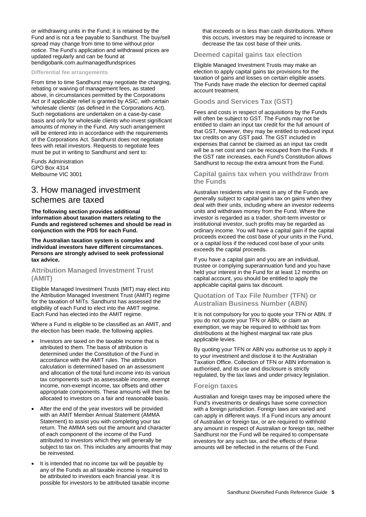or withdrawing units in the Fund; it is retained by the Fund and is not a fee payable to Sandhurst. The buy/sell spread may change from time to time without prior notice. The Fund's application and withdrawal prices are updated regularly and can be found at [bendigobank.com.au/managedfundsprices](https://bendigobank.com.au/managedfundsprices)

#### **Differential fee arrangements**

From time to time Sandhurst may negotiate the charging, rebating or waiving of management fees, as stated above, in circumstances permitted by the Corporations Act or if applicable relief is granted by ASIC, with certain 'wholesale clients' (as defined in the Corporations Act). Such negotiations are undertaken on a case-by-case basis and only for wholesale clients who invest significant amounts of money in the Fund. Any such arrangement will be entered into in accordance with the requirements of the Corporations Act. Sandhurst does not negotiate fees with retail investors. Requests to negotiate fees must be put in writing to Sandhurst and sent to:

Funds Administration GPO Box 4314 Melbourne VIC 3001

# 3. How managed investment schemes are taxed

**The following section provides additional information about taxation matters relating to the Funds and registered schemes and should be read in conjunction with the PDS for each Fund.** 

**The Australian taxation system is complex and individual investors have different circumstances. Persons are strongly advised to seek professional tax advice.** 

#### **Attribution Managed Investment Trust (AMIT)**

Eligible Managed Investment Trusts (MIT) may elect into the Attribution Managed Investment Trust (AMIT) regime for the taxation of MITs. Sandhurst has assessed the eligibility of each Fund to elect into the AMIT regime. Each Fund has elected into the AMIT regime.

Where a Fund is eligible to be classified as an AMIT, and the election has been made, the following applies.

- Investors are taxed on the taxable income that is attributed to them. The basis of attribution is determined under the Constitution of the Fund in accordance with the AMIT rules. The attribution calculation is determined based on an assessment and allocation of the total fund income into its various tax components such as assessable income, exempt income, non-exempt income, tax offsets and other appropriate components. These amounts will then be allocated to investors on a fair and reasonable basis.
- After the end of the year investors will be provided with an AMIT Member Annual Statement (AMMA Statement) to assist you with completing your tax return. The AMMA sets out the amount and character of each component of the income of the Fund attributed to investors which they will generally be subject to tax on. This includes any amounts that may be reinvested.
- It is intended that no income tax will be payable by any of the Funds as all taxable income is required to be attributed to investors each financial year. It is possible for investors to be attributed taxable income

that exceeds or is less than cash distributions. Where this occurs, investors may be required to increase or decrease the tax cost base of their units.

#### **Deemed capital gains tax election**

Eligible Managed Investment Trusts may make an election to apply capital gains tax provisions for the taxation of gains and losses on certain eligible assets. The Funds have made the election for deemed capital account treatment.

#### **Goods and Services Tax (GST)**

Fees and costs in respect of acquisitions by the Funds will often be subject to GST. The Funds may not be entitled to claim an input tax credit for the full amount of that GST, however, they may be entitled to reduced input tax credits on any GST paid. The GST included in expenses that cannot be claimed as an input tax credit will be a net cost and can be recouped from the Funds. If the GST rate increases, each Fund's Constitution allows Sandhurst to recoup the extra amount from the Fund.

#### **Capital gains tax when you withdraw from the Funds**

Australian residents who invest in any of the Funds are generally subject to capital gains tax on gains when they deal with their units, including where an investor redeems units and withdraws money from the Fund. Where the investor is regarded as a trader, short-term investor or institutional investor, such profits may be regarded as ordinary income. You will have a capital gain if the capital proceeds exceed the cost base of your units in the Fund, or a capital loss if the reduced cost base of your units exceeds the capital proceeds.

If you have a capital gain and you are an individual, trustee or complying superannuation fund and you have held your interest in the Fund for at least 12 months on capital account, you should be entitled to apply the applicable capital gains tax discount.

#### **Quotation of Tax File Number (TFN) or Australian Business Number (ABN)**

It is not compulsory for you to quote your TFN or ABN. If you do not quote your TFN or ABN, or claim an exemption, we may be required to withhold tax from distributions at the highest marginal tax rate plus applicable levies.

By quoting your TFN or ABN you authorise us to apply it to your investment and disclose it to the Australian Taxation Office. Collection of TFN or ABN information is authorised, and its use and disclosure is strictly regulated, by the tax laws and under privacy legislation.

#### **Foreign taxes**

Australian and foreign taxes may be imposed where the Fund's investments or dealings have some connection with a foreign jurisdiction. Foreign laws are varied and can apply in different ways. If a Fund incurs any amount of Australian or foreign tax, or are required to withhold any amount in respect of Australian or foreign tax, neither Sandhurst nor the Fund will be required to compensate investors for any such tax, and the effects of these amounts will be reflected in the returns of the Fund.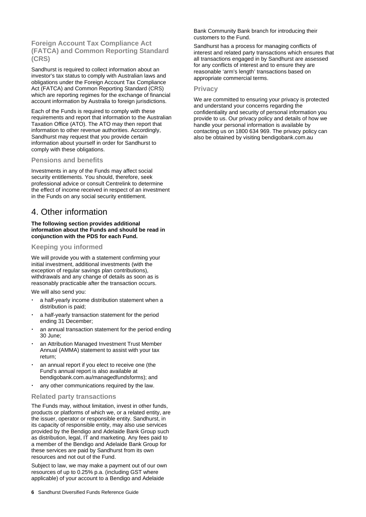**Foreign Account Tax Compliance Act (FATCA) and Common Reporting Standard (CRS)** 

Sandhurst is required to collect information about an investor's tax status to comply with Australian laws and obligations under the Foreign Account Tax Compliance Act (FATCA) and Common Reporting Standard (CRS) which are reporting regimes for the exchange of financial account information by Australia to foreign jurisdictions.

Each of the Funds is required to comply with these requirements and report that information to the Australian Taxation Office (ATO). The ATO may then report that information to other revenue authorities. Accordingly, Sandhurst may request that you provide certain information about yourself in order for Sandhurst to comply with these obligations.

#### **Pensions and benefits**

Investments in any of the Funds may affect social security entitlements. You should, therefore, seek professional advice or consult Centrelink to determine the effect of income received in respect of an investment in the Funds on any social security entitlement.

## 4. Other information

#### **The following section provides additional information about the Funds and should be read in conjunction with the PDS for each Fund.**

#### **Keeping you informed**

We will provide you with a statement confirming your initial investment, additional investments (with the exception of regular savings plan contributions), withdrawals and any change of details as soon as is reasonably practicable after the transaction occurs.

We will also send you:

- a half-yearly income distribution statement when a distribution is paid;
- a half-yearly transaction statement for the period ending 31 December;
- an annual transaction statement for the period ending 30 June;
- an Attribution Managed Investment Trust Member Annual (AMMA) statement to assist with your tax return;
- an annual report if you elect to receive one (the Fund's annual report is also available at [bendigobank.com.au/managedfundsforms\)](https://bendigobank.com.au/managedfundsforms); and
- any other communications required by the law.

#### **Related party transactions**

The Funds may, without limitation, invest in other funds, products or platforms of which we, or a related entity, are the issuer, operator or responsible entity. Sandhurst, in its capacity of responsible entity, may also use services provided by the Bendigo and Adelaide Bank Group such as distribution, legal, IT and marketing. Any fees paid to a member of the Bendigo and Adelaide Bank Group for these services are paid by Sandhurst from its own resources and not out of the Fund.

Subject to law, we may make a payment out of our own resources of up to 0.25% p.a. (including GST where applicable) of your account to a Bendigo and Adelaide

Bank Community Bank branch for introducing their customers to the Fund.

Sandhurst has a process for managing conflicts of interest and related party transactions which ensures that all transactions engaged in by Sandhurst are assessed for any conflicts of interest and to ensure they are reasonable 'arm's length' transactions based on appropriate commercial terms.

#### **Privacy**

We are committed to ensuring your privacy is protected and understand your concerns regarding the confidentiality and security of personal information you provide to us. Our privacy policy and details of how we handle your personal information is available by contacting us on 1800 634 969. The privacy policy can also be obtained by visiting [bendigobank.com.au](https://www.bendigobank.com.au/)